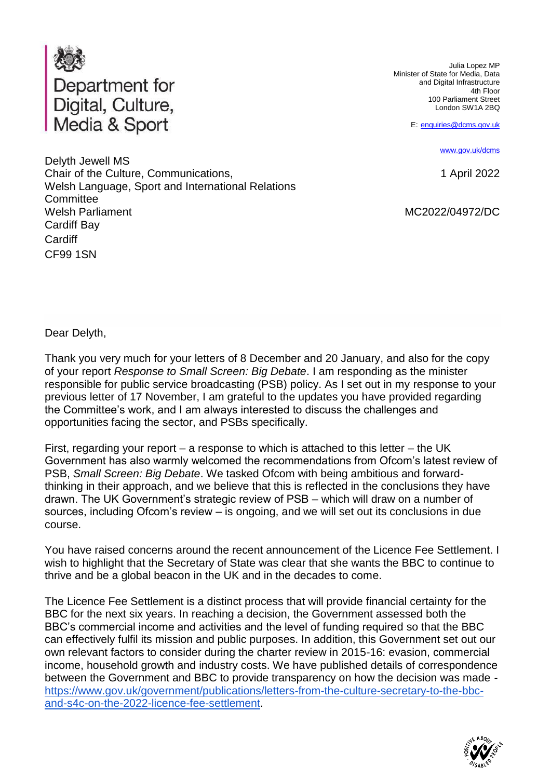

Julia Lopez MP Minister of State for Media, Data and Digital Infrastructure 4th Floor 100 Parliament Street London SW1A 2BQ

E: [enquiries@dcms.gov.uk](mailto:enquiries@dcms.gov.uk)

[www.gov.uk/dcms](http://www.gov.uk/dcms)

1 April 2022

MC2022/04972/DC

Delyth Jewell MS Chair of the Culture, Communications, Welsh Language, Sport and International Relations **Committee** Welsh Parliament Cardiff Bay **Cardiff** CF99 1SN

Dear Delyth,

Thank you very much for your letters of 8 December and 20 January, and also for the copy of your report *Response to Small Screen: Big Debate*. I am responding as the minister responsible for public service broadcasting (PSB) policy. As I set out in my response to your previous letter of 17 November, I am grateful to the updates you have provided regarding the Committee's work, and I am always interested to discuss the challenges and opportunities facing the sector, and PSBs specifically.

First, regarding your report – a response to which is attached to this letter – the UK Government has also warmly welcomed the recommendations from Ofcom's latest review of PSB, *Small Screen: Big Debate*. We tasked Ofcom with being ambitious and forwardthinking in their approach, and we believe that this is reflected in the conclusions they have drawn. The UK Government's strategic review of PSB – which will draw on a number of sources, including Ofcom's review – is ongoing, and we will set out its conclusions in due course.

You have raised concerns around the recent announcement of the Licence Fee Settlement. I wish to highlight that the Secretary of State was clear that she wants the BBC to continue to thrive and be a global beacon in the UK and in the decades to come.

The Licence Fee Settlement is a distinct process that will provide financial certainty for the BBC for the next six years. In reaching a decision, the Government assessed both the BBC's commercial income and activities and the level of funding required so that the BBC can effectively fulfil its mission and public purposes. In addition, this Government set out our own relevant factors to consider during the charter review in 2015-16: evasion, commercial income, household growth and industry costs. We have published details of correspondence between the Government and BBC to provide transparency on how the decision was made [https://www.gov.uk/government/publications/letters-from-the-culture-secretary-to-the-bbc](https://www.gov.uk/government/publications/letters-from-the-culture-secretary-to-the-bbc-and-s4c-on-the-2022-licence-fee-settlement)[and-s4c-on-the-2022-licence-fee-settlement.](https://www.gov.uk/government/publications/letters-from-the-culture-secretary-to-the-bbc-and-s4c-on-the-2022-licence-fee-settlement)